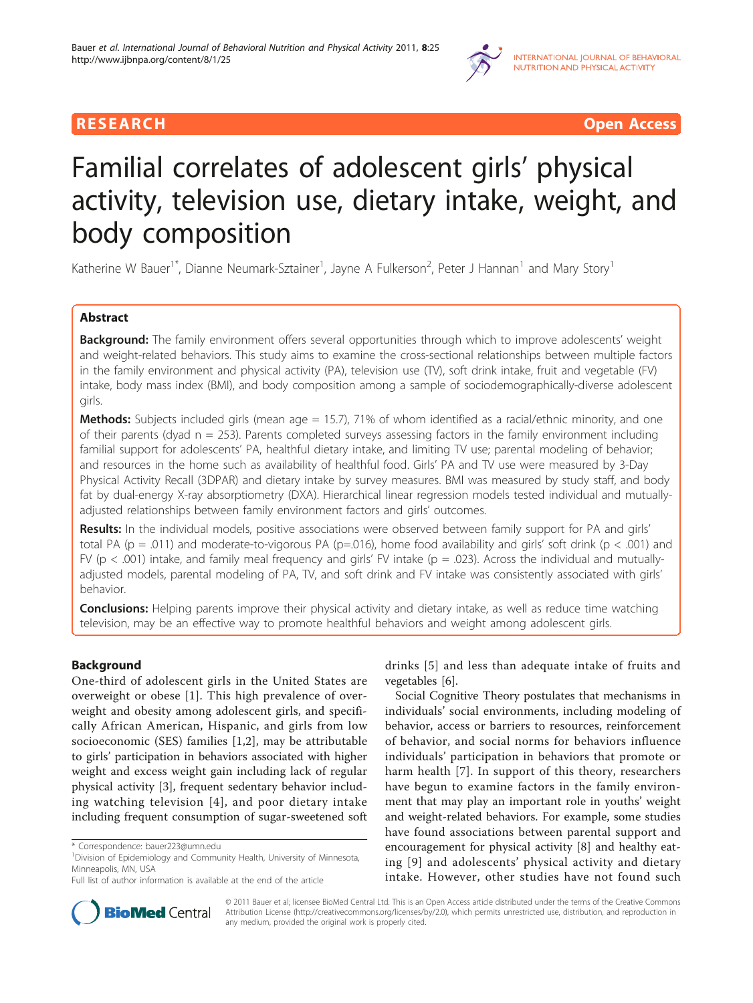

**RESEARCH Open Access CONTRACTES AND ACCESS CONTRACTES AND ACCESS CONTRACTES AND ACCESS** 

# Familial correlates of adolescent girls' physical activity, television use, dietary intake, weight, and body composition

Katherine W Bauer<sup>1\*</sup>, Dianne Neumark-Sztainer<sup>1</sup>, Jayne A Fulkerson<sup>2</sup>, Peter J Hannan<sup>1</sup> and Mary Story<sup>1</sup>

# Abstract

Background: The family environment offers several opportunities through which to improve adolescents' weight and weight-related behaviors. This study aims to examine the cross-sectional relationships between multiple factors in the family environment and physical activity (PA), television use (TV), soft drink intake, fruit and vegetable (FV) intake, body mass index (BMI), and body composition among a sample of sociodemographically-diverse adolescent girls.

Methods: Subjects included girls (mean age = 15.7), 71% of whom identified as a racial/ethnic minority, and one of their parents (dyad  $n = 253$ ). Parents completed surveys assessing factors in the family environment including familial support for adolescents' PA, healthful dietary intake, and limiting TV use; parental modeling of behavior; and resources in the home such as availability of healthful food. Girls' PA and TV use were measured by 3-Day Physical Activity Recall (3DPAR) and dietary intake by survey measures. BMI was measured by study staff, and body fat by dual-energy X-ray absorptiometry (DXA). Hierarchical linear regression models tested individual and mutuallyadjusted relationships between family environment factors and girls' outcomes.

Results: In the individual models, positive associations were observed between family support for PA and girls' total PA (p = .011) and moderate-to-vigorous PA (p=.016), home food availability and girls' soft drink (p < .001) and FV ( $p < .001$ ) intake, and family meal frequency and girls' FV intake ( $p = .023$ ). Across the individual and mutuallyadjusted models, parental modeling of PA, TV, and soft drink and FV intake was consistently associated with girls' behavior.

**Conclusions:** Helping parents improve their physical activity and dietary intake, as well as reduce time watching television, may be an effective way to promote healthful behaviors and weight among adolescent girls.

# Background

One-third of adolescent girls in the United States are overweight or obese [[1\]](#page-8-0). This high prevalence of overweight and obesity among adolescent girls, and specifically African American, Hispanic, and girls from low socioeconomic (SES) families [[1,2](#page-8-0)], may be attributable to girls' participation in behaviors associated with higher weight and excess weight gain including lack of regular physical activity [[3\]](#page-8-0), frequent sedentary behavior including watching television [[4](#page-8-0)], and poor dietary intake including frequent consumption of sugar-sweetened soft



Social Cognitive Theory postulates that mechanisms in individuals' social environments, including modeling of behavior, access or barriers to resources, reinforcement of behavior, and social norms for behaviors influence individuals' participation in behaviors that promote or harm health [[7\]](#page-8-0). In support of this theory, researchers have begun to examine factors in the family environment that may play an important role in youths' weight and weight-related behaviors. For example, some studies have found associations between parental support and encouragement for physical activity [\[8](#page-8-0)] and healthy eating [[9\]](#page-8-0) and adolescents' physical activity and dietary intake. However, other studies have not found such



© 2011 Bauer et al; licensee BioMed Central Ltd. This is an Open Access article distributed under the terms of the Creative Commons Attribution License [\(http://creativecommons.org/licenses/by/2.0](http://creativecommons.org/licenses/by/2.0)), which permits unrestricted use, distribution, and reproduction in any medium, provided the original work is properly cited.

<sup>\*</sup> Correspondence: [bauer223@umn.edu](mailto:bauer223@umn.edu)

<sup>&</sup>lt;sup>1</sup> Division of Epidemiology and Community Health, University of Minnesota, Minneapolis, MN, USA

Full list of author information is available at the end of the article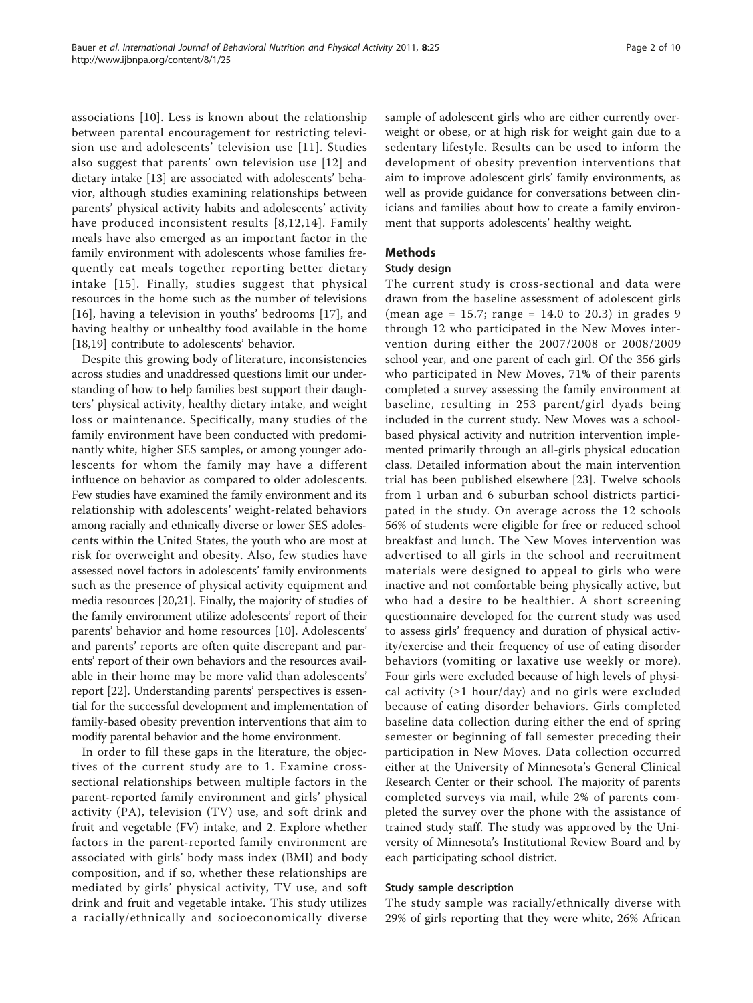associations [[10\]](#page-8-0). Less is known about the relationship between parental encouragement for restricting television use and adolescents' television use [[11\]](#page-8-0). Studies also suggest that parents' own television use [[12](#page-8-0)] and dietary intake [[13\]](#page-8-0) are associated with adolescents' behavior, although studies examining relationships between parents' physical activity habits and adolescents' activity have produced inconsistent results [[8](#page-8-0),[12,14\]](#page-8-0). Family meals have also emerged as an important factor in the family environment with adolescents whose families frequently eat meals together reporting better dietary intake [[15](#page-8-0)]. Finally, studies suggest that physical resources in the home such as the number of televisions [[16](#page-8-0)], having a television in youths' bedrooms [[17](#page-8-0)], and having healthy or unhealthy food available in the home [[18,](#page-8-0)[19\]](#page-9-0) contribute to adolescents' behavior.

Despite this growing body of literature, inconsistencies across studies and unaddressed questions limit our understanding of how to help families best support their daughters' physical activity, healthy dietary intake, and weight loss or maintenance. Specifically, many studies of the family environment have been conducted with predominantly white, higher SES samples, or among younger adolescents for whom the family may have a different influence on behavior as compared to older adolescents. Few studies have examined the family environment and its relationship with adolescents' weight-related behaviors among racially and ethnically diverse or lower SES adolescents within the United States, the youth who are most at risk for overweight and obesity. Also, few studies have assessed novel factors in adolescents' family environments such as the presence of physical activity equipment and media resources [\[20,21\]](#page-9-0). Finally, the majority of studies of the family environment utilize adolescents' report of their parents' behavior and home resources [\[10](#page-8-0)]. Adolescents' and parents' reports are often quite discrepant and parents' report of their own behaviors and the resources available in their home may be more valid than adolescents' report [[22\]](#page-9-0). Understanding parents' perspectives is essential for the successful development and implementation of family-based obesity prevention interventions that aim to modify parental behavior and the home environment.

In order to fill these gaps in the literature, the objectives of the current study are to 1. Examine crosssectional relationships between multiple factors in the parent-reported family environment and girls' physical activity (PA), television (TV) use, and soft drink and fruit and vegetable (FV) intake, and 2. Explore whether factors in the parent-reported family environment are associated with girls' body mass index (BMI) and body composition, and if so, whether these relationships are mediated by girls' physical activity, TV use, and soft drink and fruit and vegetable intake. This study utilizes a racially/ethnically and socioeconomically diverse sample of adolescent girls who are either currently overweight or obese, or at high risk for weight gain due to a sedentary lifestyle. Results can be used to inform the development of obesity prevention interventions that aim to improve adolescent girls' family environments, as well as provide guidance for conversations between clinicians and families about how to create a family environment that supports adolescents' healthy weight.

# Methods

# Study design

The current study is cross-sectional and data were drawn from the baseline assessment of adolescent girls (mean age = 15.7; range = 14.0 to 20.3) in grades 9 through 12 who participated in the New Moves intervention during either the 2007/2008 or 2008/2009 school year, and one parent of each girl. Of the 356 girls who participated in New Moves, 71% of their parents completed a survey assessing the family environment at baseline, resulting in 253 parent/girl dyads being included in the current study. New Moves was a schoolbased physical activity and nutrition intervention implemented primarily through an all-girls physical education class. Detailed information about the main intervention trial has been published elsewhere [[23](#page-9-0)]. Twelve schools from 1 urban and 6 suburban school districts participated in the study. On average across the 12 schools 56% of students were eligible for free or reduced school breakfast and lunch. The New Moves intervention was advertised to all girls in the school and recruitment materials were designed to appeal to girls who were inactive and not comfortable being physically active, but who had a desire to be healthier. A short screening questionnaire developed for the current study was used to assess girls' frequency and duration of physical activity/exercise and their frequency of use of eating disorder behaviors (vomiting or laxative use weekly or more). Four girls were excluded because of high levels of physical activity ( $\geq 1$  hour/day) and no girls were excluded because of eating disorder behaviors. Girls completed baseline data collection during either the end of spring semester or beginning of fall semester preceding their participation in New Moves. Data collection occurred either at the University of Minnesota's General Clinical Research Center or their school. The majority of parents completed surveys via mail, while 2% of parents completed the survey over the phone with the assistance of trained study staff. The study was approved by the University of Minnesota's Institutional Review Board and by each participating school district.

#### Study sample description

The study sample was racially/ethnically diverse with 29% of girls reporting that they were white, 26% African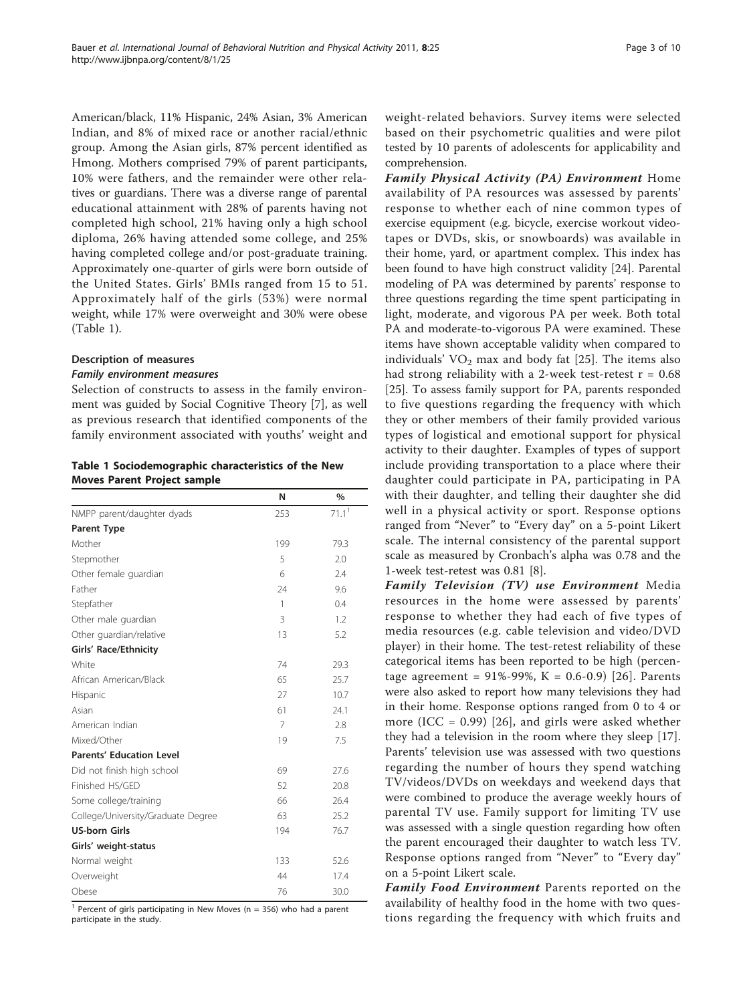American/black, 11% Hispanic, 24% Asian, 3% American Indian, and 8% of mixed race or another racial/ethnic group. Among the Asian girls, 87% percent identified as Hmong. Mothers comprised 79% of parent participants, 10% were fathers, and the remainder were other relatives or guardians. There was a diverse range of parental educational attainment with 28% of parents having not completed high school, 21% having only a high school diploma, 26% having attended some college, and 25% having completed college and/or post-graduate training. Approximately one-quarter of girls were born outside of the United States. Girls' BMIs ranged from 15 to 51. Approximately half of the girls (53%) were normal weight, while 17% were overweight and 30% were obese (Table 1).

# Description of measures

#### Family environment measures

Selection of constructs to assess in the family environment was guided by Social Cognitive Theory [\[7\]](#page-8-0), as well as previous research that identified components of the family environment associated with youths' weight and

Table 1 Sociodemographic characteristics of the New Moves Parent Project sample

|                                    | N   | $\%$              |
|------------------------------------|-----|-------------------|
| NMPP parent/daughter dyads         | 253 | 71.1 <sup>1</sup> |
| <b>Parent Type</b>                 |     |                   |
| Mother                             | 199 | 79.3              |
| Stepmother                         | 5   | 2.0               |
| Other female guardian              | 6   | 7.4               |
| Father                             | 24  | 9.6               |
| Stepfather                         | 1   | 0.4               |
| Other male guardian                | 3   | 1.2               |
| Other quardian/relative            | 13  | 5.2               |
| Girls' Race/Ethnicity              |     |                   |
| White                              | 74  | 29.3              |
| African American/Black             | 65  | 25.7              |
| Hispanic                           | 27  | 10.7              |
| Asian                              | 61  | 24.1              |
| American Indian                    | 7   | 2.8               |
| Mixed/Other                        | 19  | 7.5               |
| <b>Parents' Education Level</b>    |     |                   |
| Did not finish high school         | 69  | 27.6              |
| Finished HS/GFD                    | 52  | 20.8              |
| Some college/training              | 66  | 26.4              |
| College/University/Graduate Degree | 63  | 25.2              |
| <b>US-born Girls</b>               | 194 | 76.7              |
| Girls' weight-status               |     |                   |
| Normal weight                      | 133 | 52.6              |
| Overweight                         | 44  | 17.4              |
| Obese                              | 76  | 30.0              |

<sup>1</sup> Percent of girls participating in New Moves (n = 356) who had a parent participate in the study.

weight-related behaviors. Survey items were selected based on their psychometric qualities and were pilot tested by 10 parents of adolescents for applicability and comprehension.

Family Physical Activity (PA) Environment Home availability of PA resources was assessed by parents' response to whether each of nine common types of exercise equipment (e.g. bicycle, exercise workout videotapes or DVDs, skis, or snowboards) was available in their home, yard, or apartment complex. This index has been found to have high construct validity [[24](#page-9-0)]. Parental modeling of PA was determined by parents' response to three questions regarding the time spent participating in light, moderate, and vigorous PA per week. Both total PA and moderate-to-vigorous PA were examined. These items have shown acceptable validity when compared to individuals'  $VO<sub>2</sub>$  max and body fat [[25\]](#page-9-0). The items also had strong reliability with a 2-week test-retest  $r = 0.68$ [[25\]](#page-9-0). To assess family support for PA, parents responded to five questions regarding the frequency with which they or other members of their family provided various types of logistical and emotional support for physical activity to their daughter. Examples of types of support include providing transportation to a place where their daughter could participate in PA, participating in PA with their daughter, and telling their daughter she did well in a physical activity or sport. Response options ranged from "Never" to "Every day" on a 5-point Likert scale. The internal consistency of the parental support scale as measured by Cronbach's alpha was 0.78 and the 1-week test-retest was 0.81 [[8\]](#page-8-0).

Family Television (TV) use Environment Media resources in the home were assessed by parents' response to whether they had each of five types of media resources (e.g. cable television and video/DVD player) in their home. The test-retest reliability of these categorical items has been reported to be high (percentage agreement =  $91\% - 99\%$ , K = 0.6-0.9) [\[26\]](#page-9-0). Parents were also asked to report how many televisions they had in their home. Response options ranged from 0 to 4 or more (ICC =  $0.99$ ) [\[26\]](#page-9-0), and girls were asked whether they had a television in the room where they sleep [\[17](#page-8-0)]. Parents' television use was assessed with two questions regarding the number of hours they spend watching TV/videos/DVDs on weekdays and weekend days that were combined to produce the average weekly hours of parental TV use. Family support for limiting TV use was assessed with a single question regarding how often the parent encouraged their daughter to watch less TV. Response options ranged from "Never" to "Every day" on a 5-point Likert scale.

**Family Food Environment** Parents reported on the availability of healthy food in the home with two questions regarding the frequency with which fruits and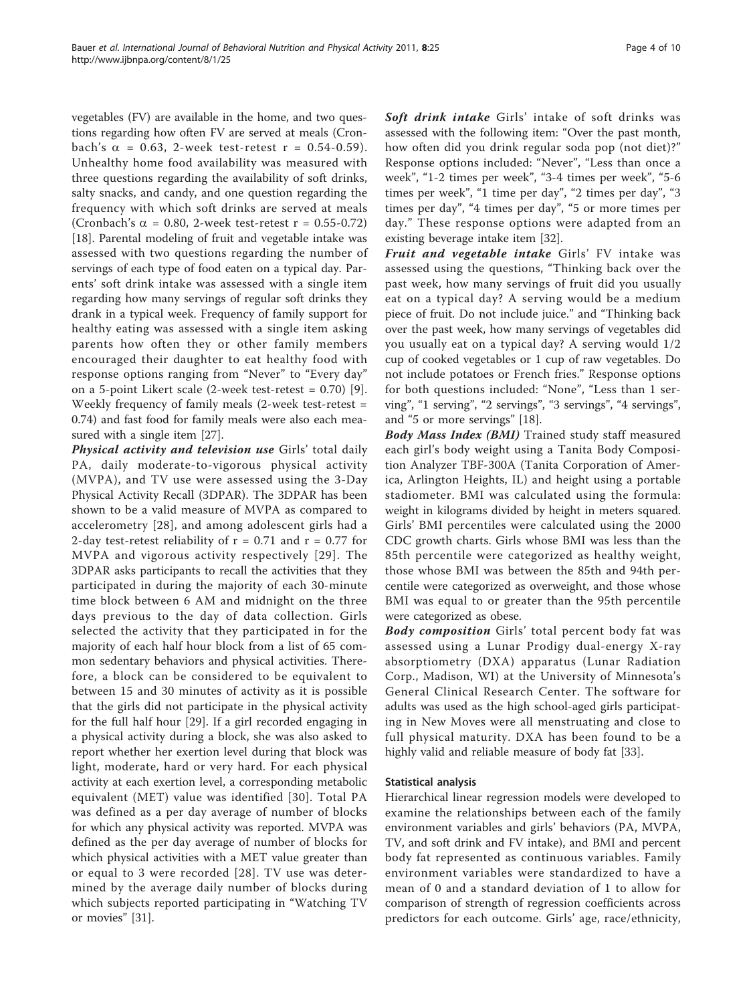vegetables (FV) are available in the home, and two questions regarding how often FV are served at meals (Cronbach's  $\alpha$  = 0.63, 2-week test-retest r = 0.54-0.59). Unhealthy home food availability was measured with three questions regarding the availability of soft drinks, salty snacks, and candy, and one question regarding the frequency with which soft drinks are served at meals (Cronbach's  $\alpha = 0.80$ , 2-week test-retest  $r = 0.55 - 0.72$ ) [[18\]](#page-8-0). Parental modeling of fruit and vegetable intake was assessed with two questions regarding the number of servings of each type of food eaten on a typical day. Parents' soft drink intake was assessed with a single item regarding how many servings of regular soft drinks they drank in a typical week. Frequency of family support for healthy eating was assessed with a single item asking parents how often they or other family members encouraged their daughter to eat healthy food with response options ranging from "Never" to "Every day" on a 5-point Likert scale (2-week test-retest = 0.70) [\[9](#page-8-0)]. Weekly frequency of family meals (2-week test-retest = 0.74) and fast food for family meals were also each measured with a single item [\[27\]](#page-9-0).

**Physical activity and television use Girls' total daily** PA, daily moderate-to-vigorous physical activity (MVPA), and TV use were assessed using the 3-Day Physical Activity Recall (3DPAR). The 3DPAR has been shown to be a valid measure of MVPA as compared to accelerometry [[28](#page-9-0)], and among adolescent girls had a 2-day test-retest reliability of  $r = 0.71$  and  $r = 0.77$  for MVPA and vigorous activity respectively [[29\]](#page-9-0). The 3DPAR asks participants to recall the activities that they participated in during the majority of each 30-minute time block between 6 AM and midnight on the three days previous to the day of data collection. Girls selected the activity that they participated in for the majority of each half hour block from a list of 65 common sedentary behaviors and physical activities. Therefore, a block can be considered to be equivalent to between 15 and 30 minutes of activity as it is possible that the girls did not participate in the physical activity for the full half hour [[29\]](#page-9-0). If a girl recorded engaging in a physical activity during a block, she was also asked to report whether her exertion level during that block was light, moderate, hard or very hard. For each physical activity at each exertion level, a corresponding metabolic equivalent (MET) value was identified [[30\]](#page-9-0). Total PA was defined as a per day average of number of blocks for which any physical activity was reported. MVPA was defined as the per day average of number of blocks for which physical activities with a MET value greater than or equal to 3 were recorded [[28](#page-9-0)]. TV use was determined by the average daily number of blocks during which subjects reported participating in "Watching TV or movies" [\[31\]](#page-9-0).

Soft drink intake Girls' intake of soft drinks was assessed with the following item: "Over the past month, how often did you drink regular soda pop (not diet)?" Response options included: "Never", "Less than once a week", "1-2 times per week", "3-4 times per week", "5-6 times per week", "1 time per day", "2 times per day", "3 times per day", "4 times per day", "5 or more times per day." These response options were adapted from an existing beverage intake item [\[32](#page-9-0)].

Fruit and vegetable intake Girls' FV intake was assessed using the questions, "Thinking back over the past week, how many servings of fruit did you usually eat on a typical day? A serving would be a medium piece of fruit. Do not include juice." and "Thinking back over the past week, how many servings of vegetables did you usually eat on a typical day? A serving would 1/2 cup of cooked vegetables or 1 cup of raw vegetables. Do not include potatoes or French fries." Response options for both questions included: "None", "Less than 1 serving", "1 serving", "2 servings", "3 servings", "4 servings", and "5 or more servings" [[18](#page-8-0)].

Body Mass Index (BMI) Trained study staff measured each girl's body weight using a Tanita Body Composition Analyzer TBF-300A (Tanita Corporation of America, Arlington Heights, IL) and height using a portable stadiometer. BMI was calculated using the formula: weight in kilograms divided by height in meters squared. Girls' BMI percentiles were calculated using the 2000 CDC growth charts. Girls whose BMI was less than the 85th percentile were categorized as healthy weight, those whose BMI was between the 85th and 94th percentile were categorized as overweight, and those whose BMI was equal to or greater than the 95th percentile were categorized as obese.

**Body composition** Girls' total percent body fat was assessed using a Lunar Prodigy dual-energy X-ray absorptiometry (DXA) apparatus (Lunar Radiation Corp., Madison, WI) at the University of Minnesota's General Clinical Research Center. The software for adults was used as the high school-aged girls participating in New Moves were all menstruating and close to full physical maturity. DXA has been found to be a highly valid and reliable measure of body fat [\[33\]](#page-9-0).

# Statistical analysis

Hierarchical linear regression models were developed to examine the relationships between each of the family environment variables and girls' behaviors (PA, MVPA, TV, and soft drink and FV intake), and BMI and percent body fat represented as continuous variables. Family environment variables were standardized to have a mean of 0 and a standard deviation of 1 to allow for comparison of strength of regression coefficients across predictors for each outcome. Girls' age, race/ethnicity,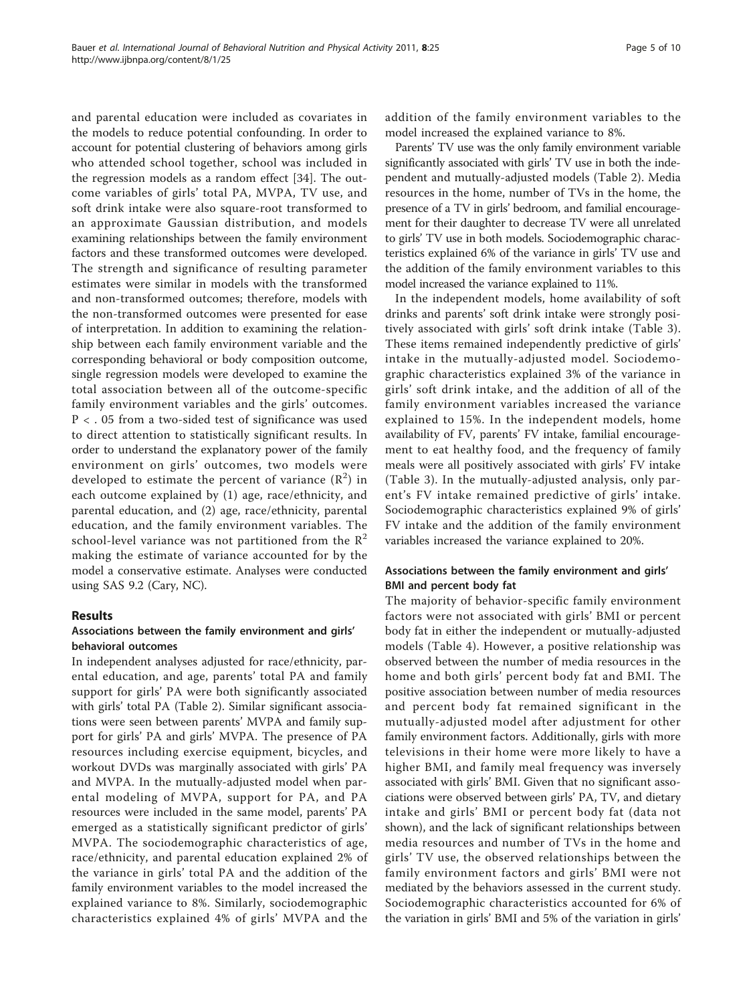and parental education were included as covariates in the models to reduce potential confounding. In order to account for potential clustering of behaviors among girls who attended school together, school was included in the regression models as a random effect [[34\]](#page-9-0). The outcome variables of girls' total PA, MVPA, TV use, and soft drink intake were also square-root transformed to an approximate Gaussian distribution, and models examining relationships between the family environment factors and these transformed outcomes were developed. The strength and significance of resulting parameter estimates were similar in models with the transformed and non-transformed outcomes; therefore, models with the non-transformed outcomes were presented for ease of interpretation. In addition to examining the relationship between each family environment variable and the corresponding behavioral or body composition outcome, single regression models were developed to examine the total association between all of the outcome-specific family environment variables and the girls' outcomes. P < . 05 from a two-sided test of significance was used to direct attention to statistically significant results. In order to understand the explanatory power of the family environment on girls' outcomes, two models were developed to estimate the percent of variance  $(R^2)$  in each outcome explained by (1) age, race/ethnicity, and parental education, and (2) age, race/ethnicity, parental education, and the family environment variables. The school-level variance was not partitioned from the  $\mathbb{R}^2$ making the estimate of variance accounted for by the model a conservative estimate. Analyses were conducted using SAS 9.2 (Cary, NC).

# Results

# Associations between the family environment and girls' behavioral outcomes

In independent analyses adjusted for race/ethnicity, parental education, and age, parents' total PA and family support for girls' PA were both significantly associated with girls' total PA (Table [2](#page-5-0)). Similar significant associations were seen between parents' MVPA and family support for girls' PA and girls' MVPA. The presence of PA resources including exercise equipment, bicycles, and workout DVDs was marginally associated with girls' PA and MVPA. In the mutually-adjusted model when parental modeling of MVPA, support for PA, and PA resources were included in the same model, parents' PA emerged as a statistically significant predictor of girls' MVPA. The sociodemographic characteristics of age, race/ethnicity, and parental education explained 2% of the variance in girls' total PA and the addition of the family environment variables to the model increased the explained variance to 8%. Similarly, sociodemographic characteristics explained 4% of girls' MVPA and the addition of the family environment variables to the model increased the explained variance to 8%.

Parents' TV use was the only family environment variable significantly associated with girls' TV use in both the independent and mutually-adjusted models (Table [2](#page-5-0)). Media resources in the home, number of TVs in the home, the presence of a TV in girls' bedroom, and familial encouragement for their daughter to decrease TV were all unrelated to girls' TV use in both models. Sociodemographic characteristics explained 6% of the variance in girls' TV use and the addition of the family environment variables to this model increased the variance explained to 11%.

In the independent models, home availability of soft drinks and parents' soft drink intake were strongly positively associated with girls' soft drink intake (Table [3](#page-5-0)). These items remained independently predictive of girls' intake in the mutually-adjusted model. Sociodemographic characteristics explained 3% of the variance in girls' soft drink intake, and the addition of all of the family environment variables increased the variance explained to 15%. In the independent models, home availability of FV, parents' FV intake, familial encouragement to eat healthy food, and the frequency of family meals were all positively associated with girls' FV intake (Table [3\)](#page-5-0). In the mutually-adjusted analysis, only parent's FV intake remained predictive of girls' intake. Sociodemographic characteristics explained 9% of girls' FV intake and the addition of the family environment variables increased the variance explained to 20%.

# Associations between the family environment and girls' BMI and percent body fat

The majority of behavior-specific family environment factors were not associated with girls' BMI or percent body fat in either the independent or mutually-adjusted models (Table [4\)](#page-6-0). However, a positive relationship was observed between the number of media resources in the home and both girls' percent body fat and BMI. The positive association between number of media resources and percent body fat remained significant in the mutually-adjusted model after adjustment for other family environment factors. Additionally, girls with more televisions in their home were more likely to have a higher BMI, and family meal frequency was inversely associated with girls' BMI. Given that no significant associations were observed between girls' PA, TV, and dietary intake and girls' BMI or percent body fat (data not shown), and the lack of significant relationships between media resources and number of TVs in the home and girls' TV use, the observed relationships between the family environment factors and girls' BMI were not mediated by the behaviors assessed in the current study. Sociodemographic characteristics accounted for 6% of the variation in girls' BMI and 5% of the variation in girls'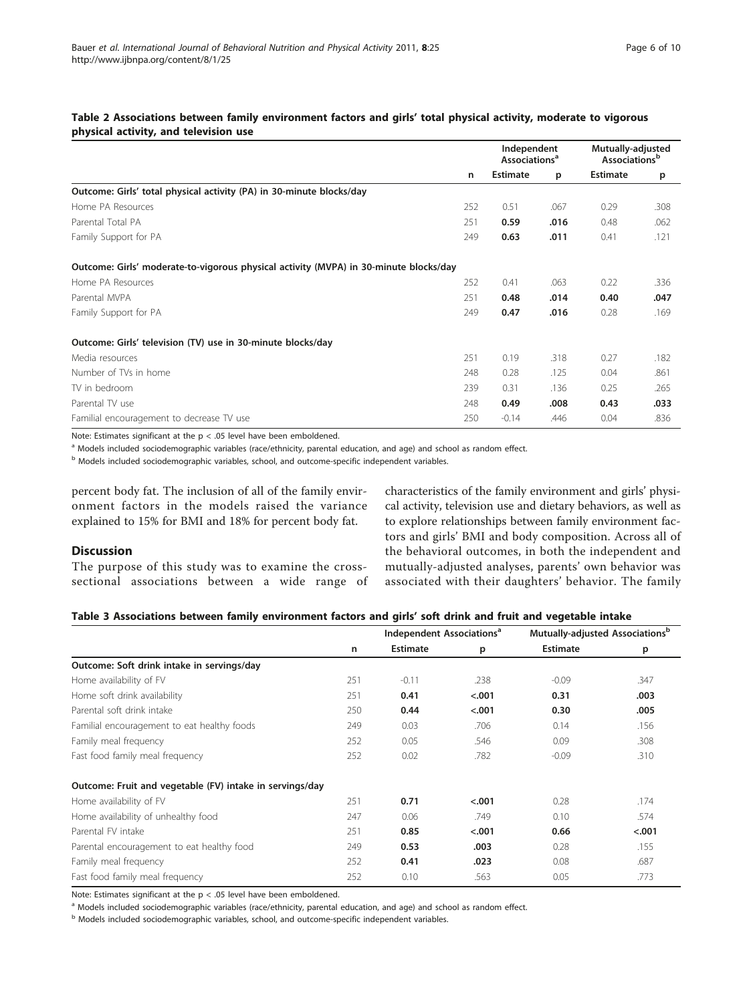<span id="page-5-0"></span>

|                                       |  | Table 2 Associations between family environment factors and girls' total physical activity, moderate to vigorous |  |
|---------------------------------------|--|------------------------------------------------------------------------------------------------------------------|--|
| physical activity, and television use |  |                                                                                                                  |  |

|                                                                                       |     | Independent<br><b>Associations<sup>a</sup></b> |      | Mutually-adjusted<br>Associations <sup>p</sup> |      |
|---------------------------------------------------------------------------------------|-----|------------------------------------------------|------|------------------------------------------------|------|
|                                                                                       | n   | <b>Estimate</b>                                | р    | <b>Estimate</b>                                | p    |
| Outcome: Girls' total physical activity (PA) in 30-minute blocks/day                  |     |                                                |      |                                                |      |
| Home PA Resources                                                                     | 252 | 0.51                                           | .067 | 0.29                                           | .308 |
| Parental Total PA                                                                     | 251 | 0.59                                           | .016 | 0.48                                           | .062 |
| Family Support for PA                                                                 | 249 | 0.63                                           | .011 | 0.41                                           | .121 |
| Outcome: Girls' moderate-to-vigorous physical activity (MVPA) in 30-minute blocks/day |     |                                                |      |                                                |      |
| Home PA Resources                                                                     | 252 | 0.41                                           | .063 | 0.22                                           | .336 |
| Parental MVPA                                                                         | 251 | 0.48                                           | .014 | 0.40                                           | .047 |
| Family Support for PA                                                                 | 249 | 0.47                                           | .016 | 0.28                                           | .169 |
| Outcome: Girls' television (TV) use in 30-minute blocks/day                           |     |                                                |      |                                                |      |
| Media resources                                                                       | 251 | 0.19                                           | .318 | 0.27                                           | .182 |
| Number of TVs in home                                                                 | 248 | 0.28                                           | .125 | 0.04                                           | .861 |
| TV in bedroom                                                                         | 239 | 0.31                                           | .136 | 0.25                                           | .265 |
| Parental TV use                                                                       | 248 | 0.49                                           | .008 | 0.43                                           | .033 |
| Familial encouragement to decrease TV use                                             | 250 | $-0.14$                                        | .446 | 0.04                                           | .836 |

Note: Estimates significant at the p < .05 level have been emboldened.

<sup>a</sup> Models included sociodemographic variables (race/ethnicity, parental education, and age) and school as random effect.

b Models included sociodemographic variables, school, and outcome-specific independent variables.

percent body fat. The inclusion of all of the family environment factors in the models raised the variance explained to 15% for BMI and 18% for percent body fat.

#### **Discussion**

The purpose of this study was to examine the crosssectional associations between a wide range of characteristics of the family environment and girls' physical activity, television use and dietary behaviors, as well as to explore relationships between family environment factors and girls' BMI and body composition. Across all of the behavioral outcomes, in both the independent and mutually-adjusted analyses, parents' own behavior was associated with their daughters' behavior. The family

#### Table 3 Associations between family environment factors and girls' soft drink and fruit and vegetable intake

|                                                          |     | Independent Associations <sup>a</sup> |        | Mutually-adjusted Associations <sup>b</sup> |         |
|----------------------------------------------------------|-----|---------------------------------------|--------|---------------------------------------------|---------|
|                                                          | n   | <b>Estimate</b>                       | p      | <b>Estimate</b>                             | p       |
| Outcome: Soft drink intake in servings/day               |     |                                       |        |                                             |         |
| Home availability of FV                                  | 251 | $-0.11$                               | .238   | $-0.09$                                     | .347    |
| Home soft drink availability                             | 251 | 0.41                                  | < .001 | 0.31                                        | .003    |
| Parental soft drink intake                               | 250 | 0.44                                  | < .001 | 0.30                                        | .005    |
| Familial encouragement to eat healthy foods              | 249 | 0.03                                  | .706   | 0.14                                        | .156    |
| Family meal frequency                                    | 252 | 0.05                                  | .546   | 0.09                                        | .308    |
| Fast food family meal frequency                          | 252 | 0.02                                  | .782   | $-0.09$                                     | .310    |
| Outcome: Fruit and vegetable (FV) intake in servings/day |     |                                       |        |                                             |         |
| Home availability of FV                                  | 251 | 0.71                                  | < .001 | 0.28                                        | .174    |
| Home availability of unhealthy food                      | 247 | 0.06                                  | .749   | 0.10                                        | .574    |
| Parental FV intake                                       | 251 | 0.85                                  | < .001 | 0.66                                        | $-.001$ |
| Parental encouragement to eat healthy food               | 249 | 0.53                                  | .003   | 0.28                                        | .155    |
| Family meal frequency                                    | 252 | 0.41                                  | .023   | 0.08                                        | .687    |
| Fast food family meal frequency                          | 252 | 0.10                                  | .563   | 0.05                                        | .773    |

Note: Estimates significant at the  $p < .05$  level have been emboldened.

a Models included sociodemographic variables (race/ethnicity, parental education, and age) and school as random effect.

b Models included sociodemographic variables, school, and outcome-specific independent variables.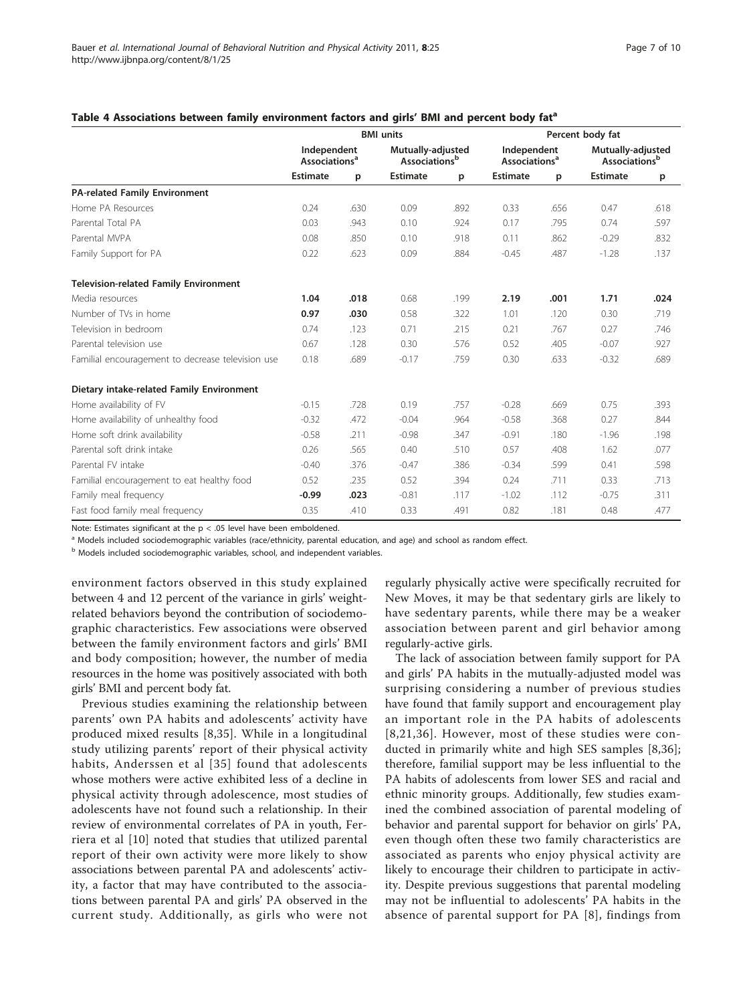|                                                   |                                          |      | <b>BMI</b> units                                      |      | Percent body fat                               |      |                                                       |      |
|---------------------------------------------------|------------------------------------------|------|-------------------------------------------------------|------|------------------------------------------------|------|-------------------------------------------------------|------|
|                                                   | Independent<br>Associations <sup>a</sup> |      | Mutually-adjusted<br><b>Associations</b> <sup>b</sup> |      | Independent<br><b>Associations<sup>a</sup></b> |      | Mutually-adjusted<br><b>Associations</b> <sup>b</sup> |      |
|                                                   | <b>Estimate</b>                          | p    | <b>Estimate</b>                                       | p    | <b>Estimate</b>                                | p    | <b>Estimate</b>                                       | p    |
| <b>PA-related Family Environment</b>              |                                          |      |                                                       |      |                                                |      |                                                       |      |
| Home PA Resources                                 | 0.24                                     | .630 | 0.09                                                  | .892 | 0.33                                           | .656 | 0.47                                                  | .618 |
| Parental Total PA                                 | 0.03                                     | .943 | 0.10                                                  | .924 | 0.17                                           | .795 | 0.74                                                  | .597 |
| Parental MVPA                                     | 0.08                                     | .850 | 0.10                                                  | .918 | 0.11                                           | .862 | $-0.29$                                               | .832 |
| Family Support for PA                             | 0.22                                     | .623 | 0.09                                                  | .884 | $-0.45$                                        | .487 | $-1.28$                                               | .137 |
| <b>Television-related Family Environment</b>      |                                          |      |                                                       |      |                                                |      |                                                       |      |
| Media resources                                   | 1.04                                     | .018 | 0.68                                                  | .199 | 2.19                                           | .001 | 1.71                                                  | .024 |
| Number of TVs in home                             | 0.97                                     | .030 | 0.58                                                  | .322 | 1.01                                           | .120 | 0.30                                                  | .719 |
| Television in bedroom                             | 0.74                                     | .123 | 0.71                                                  | .215 | 0.21                                           | .767 | 0.27                                                  | .746 |
| Parental television use                           | 0.67                                     | .128 | 0.30                                                  | .576 | 0.52                                           | .405 | $-0.07$                                               | .927 |
| Familial encouragement to decrease television use | 0.18                                     | .689 | $-0.17$                                               | .759 | 0.30                                           | .633 | $-0.32$                                               | .689 |
| Dietary intake-related Family Environment         |                                          |      |                                                       |      |                                                |      |                                                       |      |
| Home availability of FV                           | $-0.15$                                  | .728 | 0.19                                                  | .757 | $-0.28$                                        | .669 | 0.75                                                  | .393 |
| Home availability of unhealthy food               | $-0.32$                                  | .472 | $-0.04$                                               | .964 | $-0.58$                                        | .368 | 0.27                                                  | .844 |
| Home soft drink availability                      | $-0.58$                                  | .211 | $-0.98$                                               | .347 | $-0.91$                                        | .180 | $-1.96$                                               | .198 |
| Parental soft drink intake                        | 0.26                                     | .565 | 0.40                                                  | .510 | 0.57                                           | .408 | 1.62                                                  | .077 |
| Parental FV intake                                | $-0.40$                                  | .376 | $-0.47$                                               | .386 | $-0.34$                                        | .599 | 0.41                                                  | .598 |
| Familial encouragement to eat healthy food        | 0.52                                     | .235 | 0.52                                                  | .394 | 0.24                                           | .711 | 0.33                                                  | .713 |
| Family meal frequency                             | $-0.99$                                  | .023 | $-0.81$                                               | .117 | $-1.02$                                        | .112 | $-0.75$                                               | .311 |
| Fast food family meal frequency                   | 0.35                                     | .410 | 0.33                                                  | .491 | 0.82                                           | .181 | 0.48                                                  | .477 |

<span id="page-6-0"></span>

|  |  | Table 4 Associations between family environment factors and girls' BMI and percent body fat <sup>a</sup> |
|--|--|----------------------------------------------------------------------------------------------------------|
|--|--|----------------------------------------------------------------------------------------------------------|

Note: Estimates significant at the  $p < .05$  level have been emboldened.

a Models included sociodemographic variables (race/ethnicity, parental education, and age) and school as random effect.

b Models included sociodemographic variables, school, and independent variables.

environment factors observed in this study explained between 4 and 12 percent of the variance in girls' weightrelated behaviors beyond the contribution of sociodemographic characteristics. Few associations were observed between the family environment factors and girls' BMI and body composition; however, the number of media resources in the home was positively associated with both girls' BMI and percent body fat.

Previous studies examining the relationship between parents' own PA habits and adolescents' activity have produced mixed results [[8](#page-8-0),[35\]](#page-9-0). While in a longitudinal study utilizing parents' report of their physical activity habits, Anderssen et al [[35\]](#page-9-0) found that adolescents whose mothers were active exhibited less of a decline in physical activity through adolescence, most studies of adolescents have not found such a relationship. In their review of environmental correlates of PA in youth, Ferriera et al [[10\]](#page-8-0) noted that studies that utilized parental report of their own activity were more likely to show associations between parental PA and adolescents' activity, a factor that may have contributed to the associations between parental PA and girls' PA observed in the current study. Additionally, as girls who were not

regularly physically active were specifically recruited for New Moves, it may be that sedentary girls are likely to have sedentary parents, while there may be a weaker association between parent and girl behavior among regularly-active girls.

The lack of association between family support for PA and girls' PA habits in the mutually-adjusted model was surprising considering a number of previous studies have found that family support and encouragement play an important role in the PA habits of adolescents [[8,](#page-8-0)[21,36\]](#page-9-0). However, most of these studies were conducted in primarily white and high SES samples [[8,](#page-8-0)[36](#page-9-0)]; therefore, familial support may be less influential to the PA habits of adolescents from lower SES and racial and ethnic minority groups. Additionally, few studies examined the combined association of parental modeling of behavior and parental support for behavior on girls' PA, even though often these two family characteristics are associated as parents who enjoy physical activity are likely to encourage their children to participate in activity. Despite previous suggestions that parental modeling may not be influential to adolescents' PA habits in the absence of parental support for PA [\[8\]](#page-8-0), findings from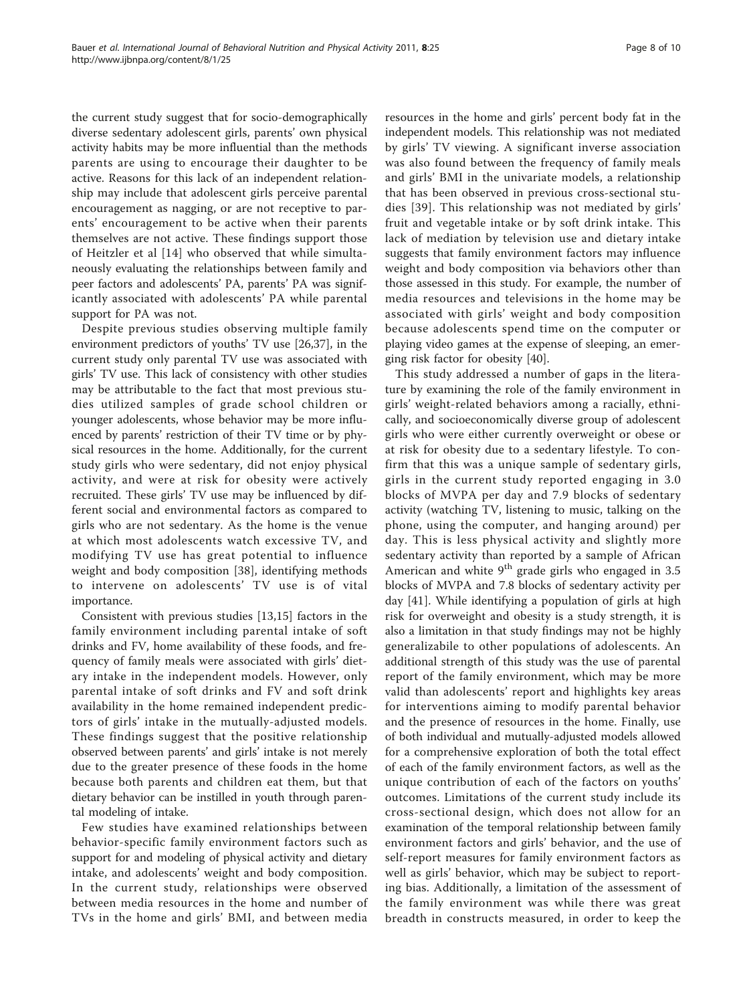the current study suggest that for socio-demographically diverse sedentary adolescent girls, parents' own physical activity habits may be more influential than the methods parents are using to encourage their daughter to be active. Reasons for this lack of an independent relationship may include that adolescent girls perceive parental encouragement as nagging, or are not receptive to parents' encouragement to be active when their parents themselves are not active. These findings support those of Heitzler et al [[14](#page-8-0)] who observed that while simultaneously evaluating the relationships between family and peer factors and adolescents' PA, parents' PA was significantly associated with adolescents' PA while parental support for PA was not.

Despite previous studies observing multiple family environment predictors of youths' TV use [\[26,37\]](#page-9-0), in the current study only parental TV use was associated with girls' TV use. This lack of consistency with other studies may be attributable to the fact that most previous studies utilized samples of grade school children or younger adolescents, whose behavior may be more influenced by parents' restriction of their TV time or by physical resources in the home. Additionally, for the current study girls who were sedentary, did not enjoy physical activity, and were at risk for obesity were actively recruited. These girls' TV use may be influenced by different social and environmental factors as compared to girls who are not sedentary. As the home is the venue at which most adolescents watch excessive TV, and modifying TV use has great potential to influence weight and body composition [\[38](#page-9-0)], identifying methods to intervene on adolescents' TV use is of vital importance.

Consistent with previous studies [[13,15\]](#page-8-0) factors in the family environment including parental intake of soft drinks and FV, home availability of these foods, and frequency of family meals were associated with girls' dietary intake in the independent models. However, only parental intake of soft drinks and FV and soft drink availability in the home remained independent predictors of girls' intake in the mutually-adjusted models. These findings suggest that the positive relationship observed between parents' and girls' intake is not merely due to the greater presence of these foods in the home because both parents and children eat them, but that dietary behavior can be instilled in youth through parental modeling of intake.

Few studies have examined relationships between behavior-specific family environment factors such as support for and modeling of physical activity and dietary intake, and adolescents' weight and body composition. In the current study, relationships were observed between media resources in the home and number of TVs in the home and girls' BMI, and between media resources in the home and girls' percent body fat in the independent models. This relationship was not mediated by girls' TV viewing. A significant inverse association was also found between the frequency of family meals and girls' BMI in the univariate models, a relationship that has been observed in previous cross-sectional studies [\[39\]](#page-9-0). This relationship was not mediated by girls' fruit and vegetable intake or by soft drink intake. This lack of mediation by television use and dietary intake suggests that family environment factors may influence weight and body composition via behaviors other than those assessed in this study. For example, the number of media resources and televisions in the home may be associated with girls' weight and body composition because adolescents spend time on the computer or playing video games at the expense of sleeping, an emerging risk factor for obesity [[40\]](#page-9-0).

This study addressed a number of gaps in the literature by examining the role of the family environment in girls' weight-related behaviors among a racially, ethnically, and socioeconomically diverse group of adolescent girls who were either currently overweight or obese or at risk for obesity due to a sedentary lifestyle. To confirm that this was a unique sample of sedentary girls, girls in the current study reported engaging in 3.0 blocks of MVPA per day and 7.9 blocks of sedentary activity (watching TV, listening to music, talking on the phone, using the computer, and hanging around) per day. This is less physical activity and slightly more sedentary activity than reported by a sample of African American and white 9<sup>th</sup> grade girls who engaged in 3.5 blocks of MVPA and 7.8 blocks of sedentary activity per day [[41\]](#page-9-0). While identifying a population of girls at high risk for overweight and obesity is a study strength, it is also a limitation in that study findings may not be highly generalizabile to other populations of adolescents. An additional strength of this study was the use of parental report of the family environment, which may be more valid than adolescents' report and highlights key areas for interventions aiming to modify parental behavior and the presence of resources in the home. Finally, use of both individual and mutually-adjusted models allowed for a comprehensive exploration of both the total effect of each of the family environment factors, as well as the unique contribution of each of the factors on youths' outcomes. Limitations of the current study include its cross-sectional design, which does not allow for an examination of the temporal relationship between family environment factors and girls' behavior, and the use of self-report measures for family environment factors as well as girls' behavior, which may be subject to reporting bias. Additionally, a limitation of the assessment of the family environment was while there was great breadth in constructs measured, in order to keep the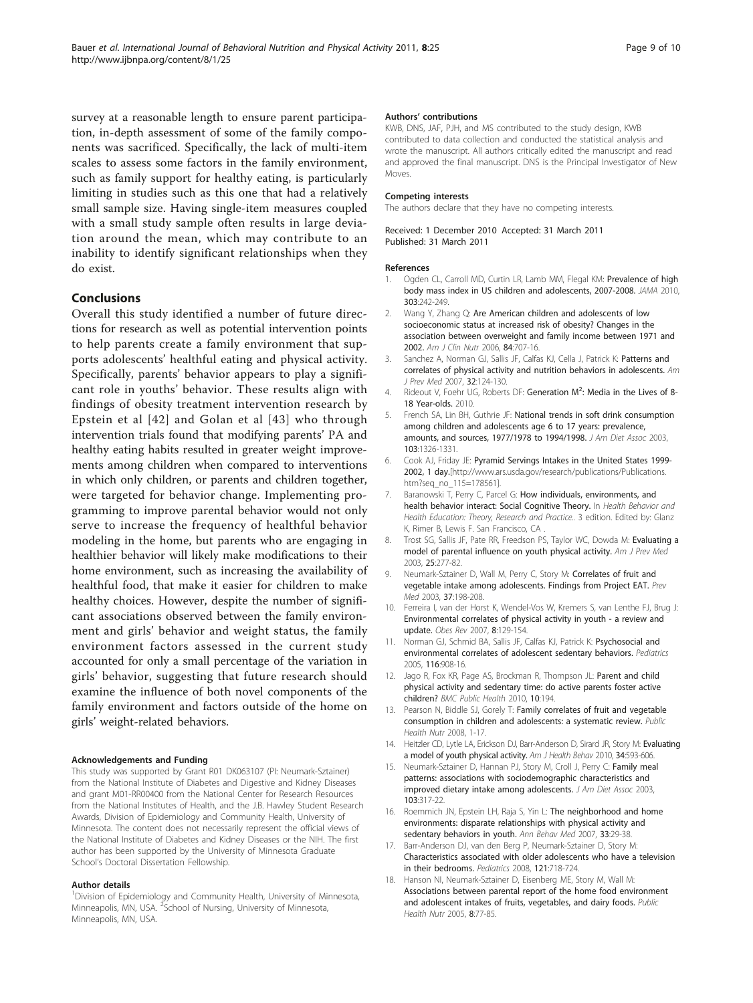<span id="page-8-0"></span>survey at a reasonable length to ensure parent participation, in-depth assessment of some of the family components was sacrificed. Specifically, the lack of multi-item scales to assess some factors in the family environment, such as family support for healthy eating, is particularly limiting in studies such as this one that had a relatively small sample size. Having single-item measures coupled with a small study sample often results in large deviation around the mean, which may contribute to an inability to identify significant relationships when they do exist.

# Conclusions

Overall this study identified a number of future directions for research as well as potential intervention points to help parents create a family environment that supports adolescents' healthful eating and physical activity. Specifically, parents' behavior appears to play a significant role in youths' behavior. These results align with findings of obesity treatment intervention research by Epstein et al [[42\]](#page-9-0) and Golan et al [[43](#page-9-0)] who through intervention trials found that modifying parents' PA and healthy eating habits resulted in greater weight improvements among children when compared to interventions in which only children, or parents and children together, were targeted for behavior change. Implementing programming to improve parental behavior would not only serve to increase the frequency of healthful behavior modeling in the home, but parents who are engaging in healthier behavior will likely make modifications to their home environment, such as increasing the availability of healthful food, that make it easier for children to make healthy choices. However, despite the number of significant associations observed between the family environment and girls' behavior and weight status, the family environment factors assessed in the current study accounted for only a small percentage of the variation in girls' behavior, suggesting that future research should examine the influence of both novel components of the family environment and factors outside of the home on girls' weight-related behaviors.

#### Acknowledgements and Funding

This study was supported by Grant R01 DK063107 (PI: Neumark-Sztainer) from the National Institute of Diabetes and Digestive and Kidney Diseases and grant M01-RR00400 from the National Center for Research Resources from the National Institutes of Health, and the J.B. Hawley Student Research Awards, Division of Epidemiology and Community Health, University of Minnesota. The content does not necessarily represent the official views of the National Institute of Diabetes and Kidney Diseases or the NIH. The first author has been supported by the University of Minnesota Graduate School's Doctoral Dissertation Fellowship.

#### Author details

<sup>1</sup> Division of Epidemiology and Community Health, University of Minnesota, Minneapolis, MN, USA. <sup>2</sup>School of Nursing, University of Minnesota, Minneapolis, MN, USA.

#### Authors' contributions

KWB, DNS, JAF, PJH, and MS contributed to the study design, KWB contributed to data collection and conducted the statistical analysis and wrote the manuscript. All authors critically edited the manuscript and read and approved the final manuscript. DNS is the Principal Investigator of New Moves.

#### Competing interests

The authors declare that they have no competing interests.

Received: 1 December 2010 Accepted: 31 March 2011 Published: 31 March 2011

#### References

- 1. Ogden CL, Carroll MD, Curtin LR, Lamb MM, Flegal KM: [Prevalence of high](http://www.ncbi.nlm.nih.gov/pubmed/20071470?dopt=Abstract) [body mass index in US children and adolescents, 2007-2008.](http://www.ncbi.nlm.nih.gov/pubmed/20071470?dopt=Abstract) JAMA 2010, 303:242-249.
- Wang Y, Zhang Q: [Are American children and adolescents of low](http://www.ncbi.nlm.nih.gov/pubmed/17023695?dopt=Abstract) [socioeconomic status at increased risk of obesity? Changes in the](http://www.ncbi.nlm.nih.gov/pubmed/17023695?dopt=Abstract) [association between overweight and family income between 1971 and](http://www.ncbi.nlm.nih.gov/pubmed/17023695?dopt=Abstract) [2002.](http://www.ncbi.nlm.nih.gov/pubmed/17023695?dopt=Abstract) Am J Clin Nutr 2006, 84:707-16.
- 3. Sanchez A, Norman GJ, Sallis JF, Calfas KJ, Cella J, Patrick K: [Patterns and](http://www.ncbi.nlm.nih.gov/pubmed/17197153?dopt=Abstract) [correlates of physical activity and nutrition behaviors in adolescents.](http://www.ncbi.nlm.nih.gov/pubmed/17197153?dopt=Abstract) Am J Prev Med 2007, 32:124-130.
- 4. Rideout V, Foehr UG, Roberts DF: Generation M<sup>2</sup>: Media in the Lives of 8-18 Year-olds. 2010.
- 5. French SA, Lin BH, Guthrie JF: [National trends in soft drink consumption](http://www.ncbi.nlm.nih.gov/pubmed/14520252?dopt=Abstract) [among children and adolescents age 6 to 17 years: prevalence,](http://www.ncbi.nlm.nih.gov/pubmed/14520252?dopt=Abstract) [amounts, and sources, 1977/1978 to 1994/1998.](http://www.ncbi.nlm.nih.gov/pubmed/14520252?dopt=Abstract) J Am Diet Assoc 2003, 103:1326-1331.
- 6. Cook AJ, Friday JE: Pyramid Servings Intakes in the United States 1999- 2002, 1 day.[[http://www.ars.usda.gov/research/publications/Publications.](http://www.ars.usda.gov/research/publications/Publications.htm?seq_no_115=178561) [htm?seq\\_no\\_115=178561](http://www.ars.usda.gov/research/publications/Publications.htm?seq_no_115=178561)].
- 7. Baranowski T, Perry C, Parcel G: How individuals, environments, and health behavior interact: Social Cognitive Theory. In Health Behavior and Health Education: Theory, Research and Practice.. 3 edition. Edited by: Glanz K, Rimer B, Lewis F. San Francisco, CA .
- 8. Trost SG, Sallis JF, Pate RR, Freedson PS, Taylor WC, Dowda M: [Evaluating a](http://www.ncbi.nlm.nih.gov/pubmed/14580627?dopt=Abstract) [model of parental influence on youth physical activity.](http://www.ncbi.nlm.nih.gov/pubmed/14580627?dopt=Abstract) Am J Prev Med 2003, 25:277-82.
- 9. Neumark-Sztainer D, Wall M, Perry C, Story M: [Correlates of fruit and](http://www.ncbi.nlm.nih.gov/pubmed/12914825?dopt=Abstract) [vegetable intake among adolescents. Findings from Project EAT.](http://www.ncbi.nlm.nih.gov/pubmed/12914825?dopt=Abstract) Prev Med 2003, 37:198-208.
- 10. Ferreira I, van der Horst K, Wendel-Vos W, Kremers S, van Lenthe FJ, Brug J: [Environmental correlates of physical activity in youth - a review and](http://www.ncbi.nlm.nih.gov/pubmed/17300279?dopt=Abstract) [update.](http://www.ncbi.nlm.nih.gov/pubmed/17300279?dopt=Abstract) Obes Rev 2007, 8:129-154.
- 11. Norman GJ, Schmid BA, Sallis JF, Calfas KJ, Patrick K: [Psychosocial and](http://www.ncbi.nlm.nih.gov/pubmed/16199700?dopt=Abstract) [environmental correlates of adolescent sedentary behaviors.](http://www.ncbi.nlm.nih.gov/pubmed/16199700?dopt=Abstract) Pediatrics 2005, 116:908-16.
- 12. Jago R, Fox KR, Page AS, Brockman R, Thompson JL: [Parent and child](http://www.ncbi.nlm.nih.gov/pubmed/20398306?dopt=Abstract) [physical activity and sedentary time: do active parents foster active](http://www.ncbi.nlm.nih.gov/pubmed/20398306?dopt=Abstract) [children?](http://www.ncbi.nlm.nih.gov/pubmed/20398306?dopt=Abstract) BMC Public Health 2010, 10:194.
- 13. Pearson N, Biddle SJ, Gorely T: Family correlates of fruit and vegetable consumption in children and adolescents: a systematic review. Public Health Nutr 2008, 1-17.
- 14. Heitzler CD, Lytle LA, Erickson DJ, Barr-Anderson D, Sirard JR, Story M: [Evaluating](http://www.ncbi.nlm.nih.gov/pubmed/20524889?dopt=Abstract) [a model of youth physical activity.](http://www.ncbi.nlm.nih.gov/pubmed/20524889?dopt=Abstract) Am J Health Behav 2010, 34:593-606.
- 15. Neumark-Sztainer D, Hannan PJ, Story M, Croll J, Perry C: [Family meal](http://www.ncbi.nlm.nih.gov/pubmed/12616252?dopt=Abstract) [patterns: associations with sociodemographic characteristics and](http://www.ncbi.nlm.nih.gov/pubmed/12616252?dopt=Abstract) [improved dietary intake among adolescents.](http://www.ncbi.nlm.nih.gov/pubmed/12616252?dopt=Abstract) J Am Diet Assoc 2003, 103:317-22.
- 16. Roemmich JN, Epstein LH, Raja S, Yin L: [The neighborhood and home](http://www.ncbi.nlm.nih.gov/pubmed/17291168?dopt=Abstract) [environments: disparate relationships with physical activity and](http://www.ncbi.nlm.nih.gov/pubmed/17291168?dopt=Abstract) [sedentary behaviors in youth.](http://www.ncbi.nlm.nih.gov/pubmed/17291168?dopt=Abstract) Ann Behav Med 2007, 33:29-38.
- 17. Barr-Anderson DJ, van den Berg P, Neumark-Sztainer D, Story M: [Characteristics associated with older adolescents who have a television](http://www.ncbi.nlm.nih.gov/pubmed/18381536?dopt=Abstract) [in their bedrooms.](http://www.ncbi.nlm.nih.gov/pubmed/18381536?dopt=Abstract) Pediatrics 2008, 121:718-724.
- 18. Hanson NI, Neumark-Sztainer D, Eisenberg ME, Story M, Wall M: [Associations between parental report of the home food environment](http://www.ncbi.nlm.nih.gov/pubmed/15705248?dopt=Abstract) [and adolescent intakes of fruits, vegetables, and dairy foods.](http://www.ncbi.nlm.nih.gov/pubmed/15705248?dopt=Abstract) Public Health Nutr 2005, 8:77-85.